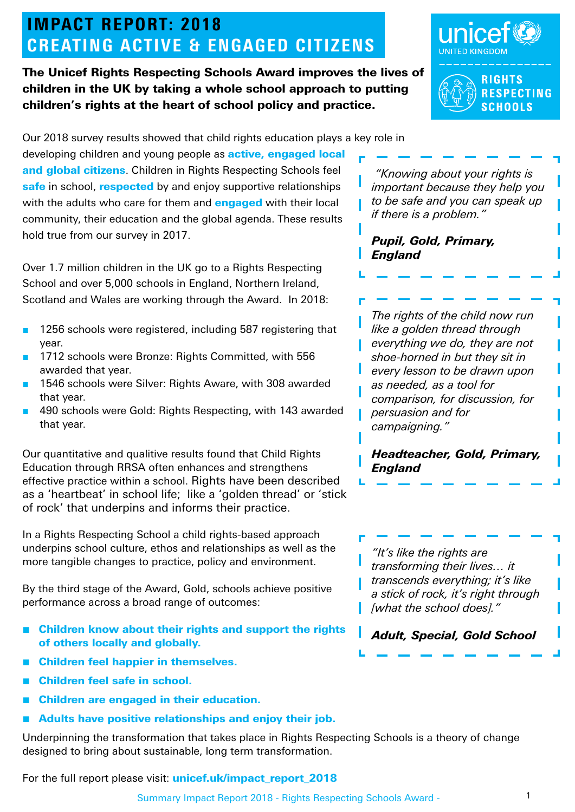# IMPACT REPORT: 2018 IMPACT REPORT: 2018 **CREATING ACTIVE & ENGAGED CITIZENS**

The Unicef Rights Respecting Schools Award improves the lives of children in the UK by taking a whole school approach to putting children's rights at the heart of school policy and practice.





Our 2018 survey results showed that child rights education plays a key role in

developing children and young people as **active, engaged local** and global citizens. Children in Rights Respecting Schools feel safe in school, respected by and enjoy supportive relationships with the adults who care for them and **engaged** with their local community, their education and the global agenda. These results hold true from our survey in 2017.

Over 1.7 million children in the UK go to a Rights Respecting School and over 5,000 schools in England, Northern Ireland, Scotland and Wales are working through the Award. In 2018:

- 1256 schools were registered, including 587 registering that year.
- 1712 schools were Bronze: Rights Committed, with 556 awarded that year.
- 1546 schools were Silver: Rights Aware, with 308 awarded that year.
- 490 schools were Gold: Rights Respecting, with 143 awarded that year.

Our quantitative and qualitive results found that Child Rights Education through RRSA often enhances and strengthens effective practice within a school. Rights have been described as a 'heartbeat' in school life; like a 'golden thread' or 'stick of rock' that underpins and informs their practice.

In a Rights Respecting School a child rights-based approach underpins school culture, ethos and relationships as well as the more tangible changes to practice, policy and environment.

By the third stage of the Award, Gold, schools achieve positive performance across a broad range of outcomes:

- Children know about their rights and support the rights of others locally and globally.
- **Children feel happier in themselves.**
- Children feel safe in school.
- Children are engaged in their education.
- Adults have positive relationships and enjoy their job.

Underpinning the transformation that takes place in Rights Respecting Schools is a theory of change designed to bring about sustainable, long term transformation.

For the full report please visit: unicef.uk/impact report 2018

 *"Knowing about your rights is important because they help you to be safe and you can speak up if there is a problem."* 

#### *Pupil, Gold, Primary, England*

*The rights of the child now run like a golden thread through everything we do, they are not shoe-horned in but they sit in every lesson to be drawn upon as needed, as a tool for comparison, for discussion, for persuasion and for campaigning."*

*Headteacher, Gold, Primary, England* 

*"It's like the rights are transforming their lives… it transcends everything; it's like a stick of rock, it's right through [what the school does]."* 

*Adult, Special, Gold School*